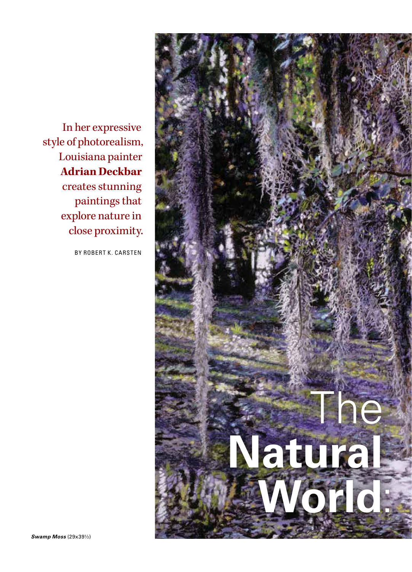In her expressive style of photorealism, Louisiana painter **Adrian Deckbar** creates stunning paintings that explore nature in close proximity.

BY ROBERT K. CARSTEN

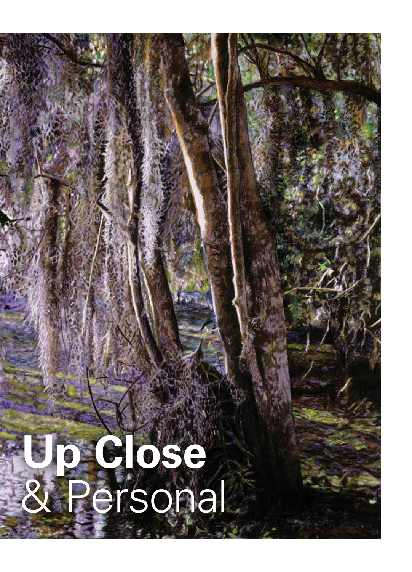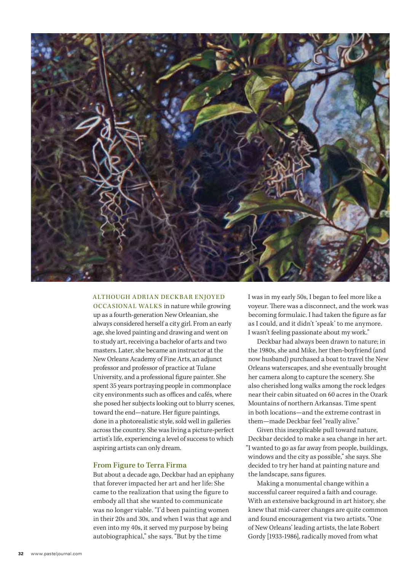

# ALTHOUGH ADRIAN DECKBAR ENJOYED

OCCASIONAL WALKS in nature while growing up as a fourth-generation New Orleanian, she always considered herself a city girl. From an early age, she loved painting and drawing and went on to study art, receiving a bachelor of arts and two masters. Later, she became an instructor at the New Orleans Academy of Fine Arts, an adjunct professor and professor of practice at Tulane University, and a professional figure painter. She spent 35 years portraying people in commonplace city environments such as offices and cafés, where she posed her subjects looking out to blurry scenes, toward the end—nature. Her figure paintings, done in a photorealistic style, sold well in galleries across the country. She was living a picture-perfect artist's life, experiencing a level of success to which aspiring artists can only dream.

#### From Figure to Terra Firma

But about a decade ago, Deckbar had an epiphany that forever impacted her art and her life: She came to the realization that using the figure to embody all that she wanted to communicate was no longer viable. "I'd been painting women in their 20s and 30s, and when I was that age and even into my 40s, it served my purpose by being autobiographical," she says. "But by the time

I was in my early 50s, I began to feel more like a voyeur. There was a disconnect, and the work was becoming formulaic. I had taken the figure as far as I could, and it didn't 'speak' to me anymore. I wasn't feeling passionate about my work."

Deckbar had always been drawn to nature; in the 1980s, she and Mike, her then-boyfriend (and now husband) purchased a boat to travel the New Orleans waterscapes, and she eventually brought her camera along to capture the scenery. She also cherished long walks among the rock ledges near their cabin situated on 60 acres in the Ozark Mountains of northern Arkansas. Time spent in both locations—and the extreme contrast in them—made Deckbar feel "really alive."

Given this inexplicable pull toward nature, Deckbar decided to make a sea change in her art. "I wanted to go as far away from people, buildings, windows and the city as possible," she says. She decided to try her hand at painting nature and the landscape, sans figures.

Making a monumental change within a successful career required a faith and courage. With an extensive background in art history, she knew that mid-career changes are quite common and found encouragement via two artists. "One of New Orleans' leading artists, the late Robert Gordy [1933-1986], radically moved from what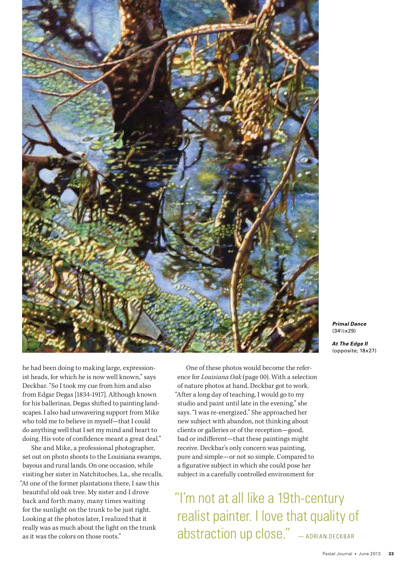

**Primal Dance** (34½x29)

**At The Edge II** (opposite; 18x27)

he had been doing to making large, expressionist heads, for which he is now well known," says Deckbar. "So I took my cue from him and also from Edgar Degas [1834-1917]. Although known for his ballerinas, Degas shifted to painting landscapes. I also had unwavering support from Mike who told me to believe in myself—that I could do anything well that I set my mind and heart to doing. His vote of confidence meant a great deal."

She and Mike, a professional photographer, set out on photo shoots to the Louisiana swamps, bayous and rural lands. On one occasion, while visiting her sister in Natchitoches, La., she recalls, "At one of the former plantations there, I saw this beautiful old oak tree. My sister and I drove back and forth many, many times waiting for the sunlight on the trunk to be just right. Looking at the photos later, I realized that it really was as much about the light on the trunk as it was the colors on those roots."

One of these photos would become the reference for Louisiana Oak (page 00). With a selection of nature photos at hand, Deckbar got to work. "After a long day of teaching, I would go to my studio and paint until late in the evening," she says. "I was re-energized." She approached her new subject with abandon, not thinking about clients or galleries or of the reception—good, bad or indifferent—that these paintings might receive. Deckbar's only concern was painting, pure and simple—or not so simple. Compared to a figurative subject in which she could pose her subject in a carefully controlled environment for

"I'm not at all like a 19th-century realist painter. I love that quality of abstraction up close." - ADRIAN DECKBAR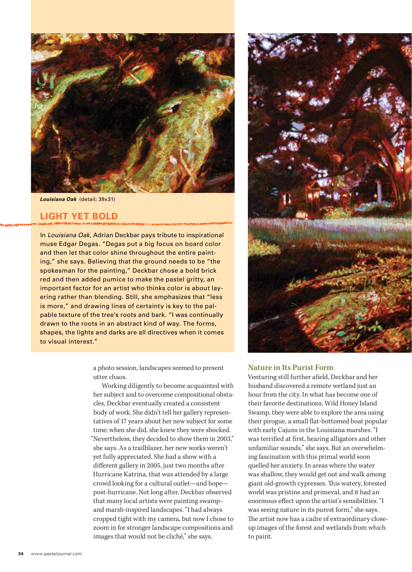

**Louisiana Oak** (detail; 39x31)

# **LIGHT YET BOLD**

In Louisiana Oak, Adrian Deckbar pays tribute to inspirational muse Edgar Degas. "Degas put a big focus on board color and then let that color shine throughout the entire painting," she says. Believing that the ground needs to be "the spokesman for the painting," Deckbar chose a bold brick red and then added pumice to make the pastel gritty, an important factor for an artist who thinks color is about layering rather than blending. Still, she emphasizes that "less is more," and drawing lines of certainty is key to the palpable texture of the tree's roots and bark. "I was continually drawn to the roots in an abstract kind of way. The forms, shapes, the lights and darks are all directives when it comes to visual interest."

> a photo session, landscapes seemed to present utter chaos.

Working diligently to become acquainted with her subject and to overcome compositional obstacles, Deckbar eventually created a consistent body of work. She didn't tell her gallery representatives of 17 years about her new subject for some time; when she did, she knew they were shocked. "Nevertheless, they decided to show them in 2003," she says. As a trailblazer, her new works weren't yet fully appreciated. She had a show with a different gallery in 2005, just two months after Hurricane Katrina, that was attended by a large crowd looking for a cultural outlet—and hope post-hurricane. Not long after, Deckbar observed that many local artists were painting swampand marsh-inspired landscapes. "I had always cropped tight with my camera, but now I chose to zoom in for stronger landscape compositions and images that would not be cliché," she says.



### Nature in Its Purist Form

Venturing still further afield, Deckbar and her husband discovered a remote wetland just an hour from the city. In what has become one of their favorite destinations, Wild Honey Island Swamp, they were able to explore the area using their pirogue, a small flat-bottomed boat popular with early Cajuns in the Louisiana marshes. "I was terrified at first, hearing alligators and other unfamiliar sounds," she says. But an overwhelming fascination with this primal world soon quelled her anxiety. In areas where the water was shallow, they would get out and walk among giant old-growth cypresses. This watery, forested world was pristine and primeval, and it had an enormous effect upon the artist's sensibilities. "I was seeing nature in its purest form," she says. The artist now has a cadre of extraordinary closeup images of the forest and wetlands from which to paint.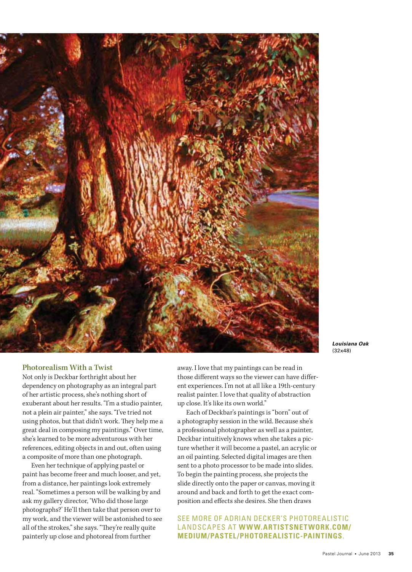

## **Louisiana Oak** (32x48)

#### Photorealism With a Twist

Not only is Deckbar forthright about her dependency on photography as an integral part of her artistic process, she's nothing short of exuberant about her results. "I'm a studio painter, not a plein air painter," she says. "I've tried not using photos, but that didn't work. They help me a great deal in composing my paintings." Over time, she's learned to be more adventurous with her references, editing objects in and out, often using a composite of more than one photograph.

Even her technique of applying pastel or paint has become freer and much looser, and yet, from a distance, her paintings look extremely real. "Sometimes a person will be walking by and ask my gallery director, 'Who did those large photographs?' He'll then take that person over to my work, and the viewer will be astonished to see all of the strokes," she says. "They're really quite painterly up close and photoreal from further

away. I love that my paintings can be read in those different ways so the viewer can have different experiences. I'm not at all like a 19th-century realist painter. I love that quality of abstraction up close. It's like its own world."

Each of Deckbar's paintings is "born" out of a photography session in the wild. Because she's a professional photographer as well as a painter, Deckbar intuitively knows when she takes a picture whether it will become a pastel, an acrylic or an oil painting. Selected digital images are then sent to a photo processor to be made into slides. To begin the painting process, she projects the slide directly onto the paper or canvas, moving it around and back and forth to get the exact composition and effects she desires. She then draws

SEE MORE OF ADRIAN DECKER'S PHOTOREALISTIC LANDSCAPES AT **WWW.ARTISTSNETWORK.COM/ MEDIUM/PASTEL/PHOTOREALISTIC-PAINTINGS**.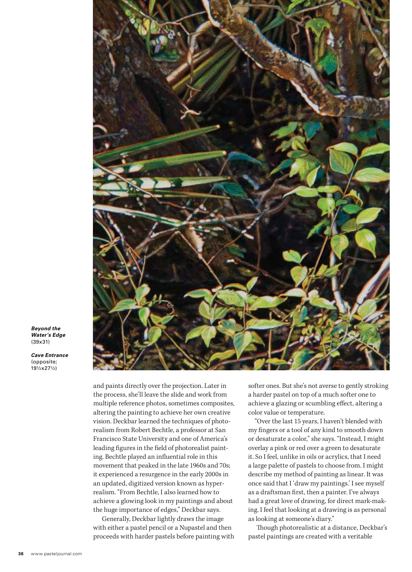

**Beyond the Water's Edge** (39x31)

**Cave Entrance** (opposite; 19½x27½)

> and paints directly over the projection. Later in the process, she'll leave the slide and work from multiple reference photos, sometimes composites, altering the painting to achieve her own creative vision. Deckbar learned the techniques of photorealism from Robert Bechtle, a professor at San Francisco State University and one of America's leading figures in the field of photorealist painting. Bechtle played an influential role in this movement that peaked in the late 1960s and 70s; it experienced a resurgence in the early 2000s in an updated, digitized version known as hyperrealism. "From Bechtle, I also learned how to achieve a glowing look in my paintings and about the huge importance of edges," Deckbar says.

> Generally, Deckbar lightly draws the image with either a pastel pencil or a Nupastel and then proceeds with harder pastels before painting with

softer ones. But she's not averse to gently stroking a harder pastel on top of a much softer one to achieve a glazing or scumbling effect, altering a color value or temperature.

"Over the last 15 years, I haven't blended with my fingers or a tool of any kind to smooth down or desaturate a color," she says. "Instead, I might overlay a pink or red over a green to desaturate it. So I feel, unlike in oils or acrylics, that I need a large palette of pastels to choose from. I might describe my method of painting as linear. It was once said that I 'draw my paintings.' I see myself as a draftsman first, then a painter. I've always had a great love of drawing, for direct mark-making. I feel that looking at a drawing is as personal as looking at someone's diary."

Though photorealistic at a distance, Deckbar's pastel paintings are created with a veritable